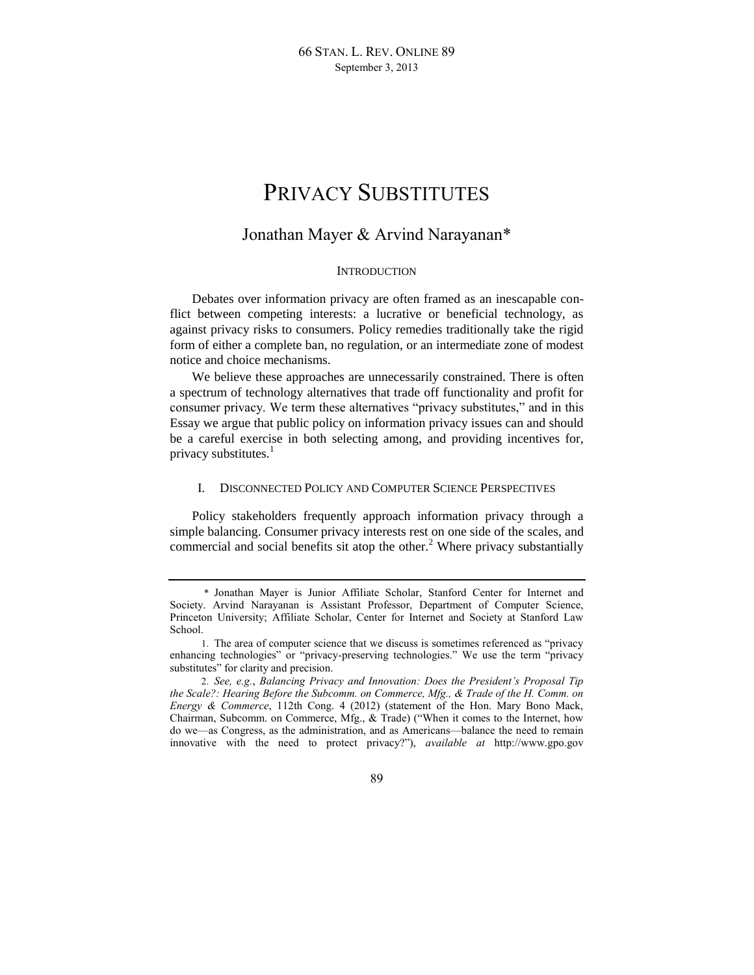# PRIVACY SUBSTITUTES

## Jonathan Mayer & Arvind Narayanan\*

### **INTRODUCTION**

Debates over information privacy are often framed as an inescapable conflict between competing interests: a lucrative or beneficial technology, as against privacy risks to consumers. Policy remedies traditionally take the rigid form of either a complete ban, no regulation, or an intermediate zone of modest notice and choice mechanisms.

We believe these approaches are unnecessarily constrained. There is often a spectrum of technology alternatives that trade off functionality and profit for consumer privacy. We term these alternatives "privacy substitutes," and in this Essay we argue that public policy on information privacy issues can and should be a careful exercise in both selecting among, and providing incentives for, privacy substitutes.<sup>1</sup>

#### I. DISCONNECTED POLICY AND COMPUTER SCIENCE PERSPECTIVES

Policy stakeholders frequently approach information privacy through a simple balancing. Consumer privacy interests rest on one side of the scales, and commercial and social benefits sit atop the other.<sup>2</sup> Where privacy substantially

<sup>\*</sup> Jonathan Mayer is Junior Affiliate Scholar, Stanford Center for Internet and Society. Arvind Narayanan is Assistant Professor, Department of Computer Science, Princeton University; Affiliate Scholar, Center for Internet and Society at Stanford Law School.

<sup>1.</sup> The area of computer science that we discuss is sometimes referenced as "privacy enhancing technologies" or "privacy-preserving technologies." We use the term "privacy substitutes" for clarity and precision.

<sup>2.</sup> *See, e.g.*, *Balancing Privacy and Innovation: Does the President's Proposal Tip the Scale?: Hearing Before the Subcomm. on Commerce, Mfg., & Trade of the H. Comm. on Energy & Commerce*, 112th Cong. 4 (2012) (statement of the Hon. Mary Bono Mack, Chairman, Subcomm. on Commerce, Mfg., & Trade) ("When it comes to the Internet, how do we—as Congress, as the administration, and as Americans—balance the need to remain innovative with the need to protect privacy?"), *available at* http://www.gpo.gov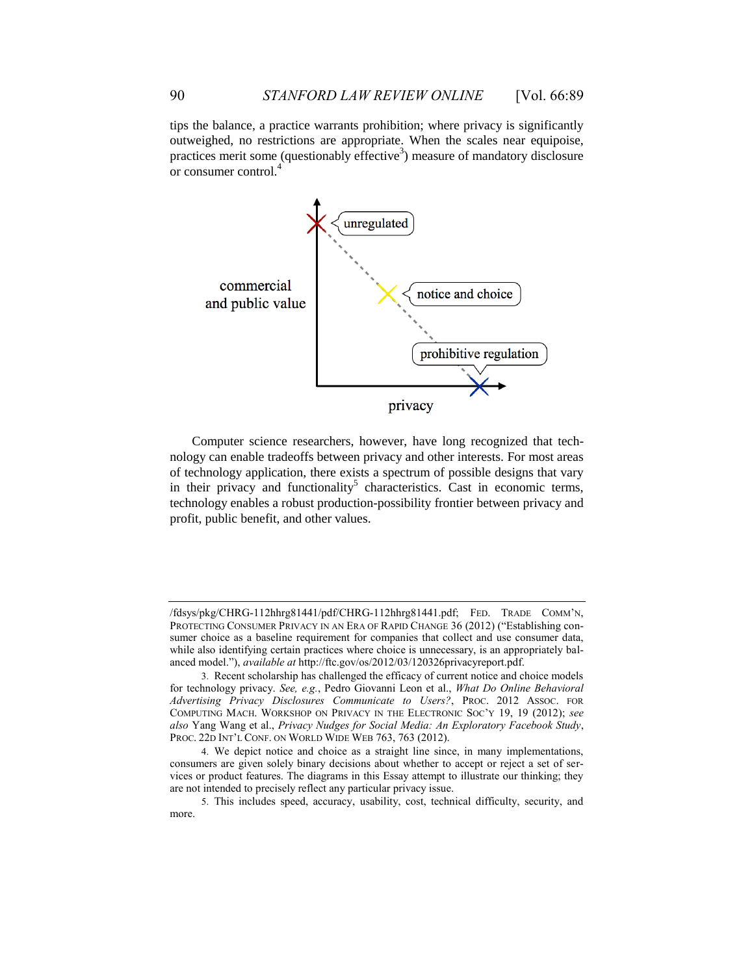tips the balance, a practice warrants prohibition; where privacy is significantly outweighed, no restrictions are appropriate. When the scales near equipoise, practices merit some (questionably effective<sup>3</sup>) measure of mandatory disclosure or consumer control.<sup>4</sup>

<span id="page-1-0"></span>

Computer science researchers, however, have long recognized that technology can enable tradeoffs between privacy and other interests. For most areas of technology application, there exists a spectrum of possible designs that vary in their privacy and functionality<sup>5</sup> characteristics. Cast in economic terms, technology enables a robust production-possibility frontier between privacy and profit, public benefit, and other values.

<sup>/</sup>fdsys/pkg/CHRG-112hhrg81441/pdf/CHRG-112hhrg81441.pdf; FED. TRADE COMM'N, PROTECTING CONSUMER PRIVACY IN AN ERA OF RAPID CHANGE 36 (2012) ("Establishing consumer choice as a baseline requirement for companies that collect and use consumer data, while also identifying certain practices where choice is unnecessary, is an appropriately balanced model."), *available at* http://ftc.gov/os/2012/03/120326privacyreport.pdf.

<sup>3.</sup> Recent scholarship has challenged the efficacy of current notice and choice models for technology privacy. *See, e.g.*, Pedro Giovanni Leon et al., *What Do Online Behavioral Advertising Privacy Disclosures Communicate to Users?*, PROC. 2012 ASSOC. FOR COMPUTING MACH. WORKSHOP ON PRIVACY IN THE ELECTRONIC SOC'Y 19, 19 (2012); *see also* Yang Wang et al., *Privacy Nudges for Social Media: An Exploratory Facebook Study*, PROC. 22D INT'L CONF. ON WORLD WIDE WEB 763, 763 (2012).

<sup>4.</sup> We depict notice and choice as a straight line since, in many implementations, consumers are given solely binary decisions about whether to accept or reject a set of services or product features. The diagrams in this Essay attempt to illustrate our thinking; they are not intended to precisely reflect any particular privacy issue.

<sup>5.</sup> This includes speed, accuracy, usability, cost, technical difficulty, security, and more.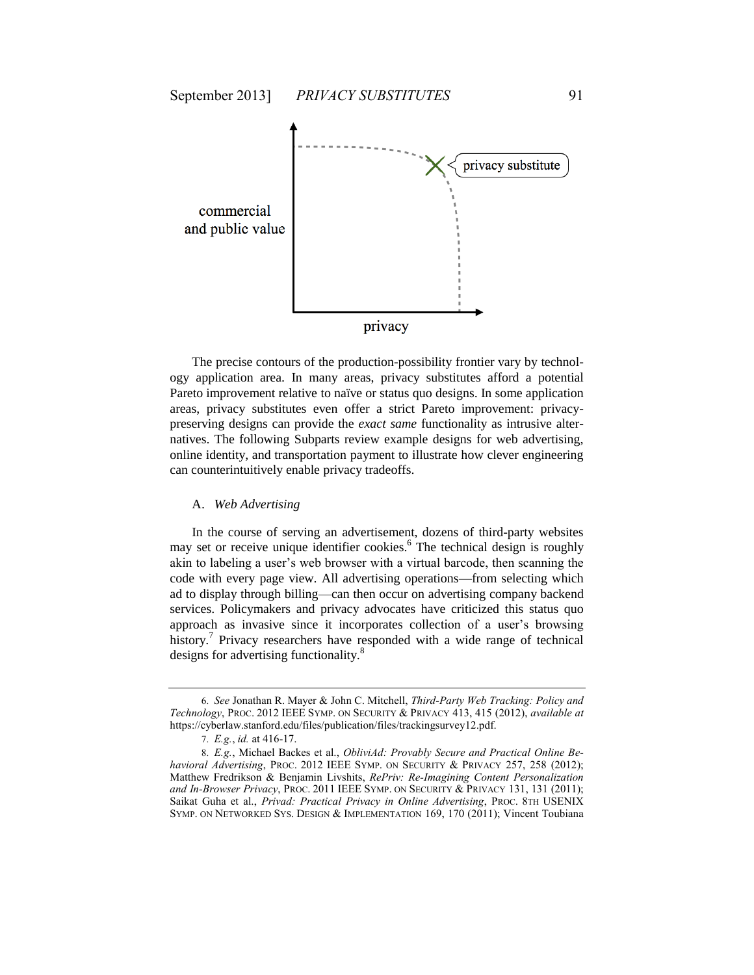

The precise contours of the production-possibility frontier vary by technology application area. In many areas, privacy substitutes afford a potential Pareto improvement relative to naïve or status quo designs. In some application areas, privacy substitutes even offer a strict Pareto improvement: privacypreserving designs can provide the *exact same* functionality as intrusive alternatives. The following Subparts review example designs for web advertising, online identity, and transportation payment to illustrate how clever engineering can counterintuitively enable privacy tradeoffs.

#### <span id="page-2-0"></span>A. *Web Advertising*

In the course of serving an advertisement, dozens of third-party websites may set or receive unique identifier cookies.<sup>6</sup> The technical design is roughly akin to labeling a user's web browser with a virtual barcode, then scanning the code with every page view. All advertising operations—from selecting which ad to display through billing—can then occur on advertising company backend services. Policymakers and privacy advocates have criticized this status quo approach as invasive since it incorporates collection of a user's browsing history.<sup>7</sup> Privacy researchers have responded with a wide range of technical designs for advertising functionality.<sup>8</sup>

<sup>6.</sup> *See* Jonathan R. Mayer & John C. Mitchell, *Third-Party Web Tracking: Policy and Technology*, PROC. 2012 IEEE SYMP. ON SECURITY & PRIVACY 413, 415 (2012), *available at*  https://cyberlaw.stanford.edu/files/publication/files/trackingsurvey12.pdf.

<sup>7.</sup> *E.g.*, *id.* at 416-17.

<sup>8.</sup> *E.g.*, Michael Backes et al., *ObliviAd: Provably Secure and Practical Online Behavioral Advertising*, PROC. 2012 IEEE SYMP. ON SECURITY & PRIVACY 257, 258 (2012); Matthew Fredrikson & Benjamin Livshits, *RePriv: Re-Imagining Content Personalization and In-Browser Privacy*, PROC. 2011 IEEE SYMP. ON SECURITY & PRIVACY 131, 131 (2011); Saikat Guha et al., *Privad: Practical Privacy in Online Advertising*, PROC. 8TH USENIX SYMP. ON NETWORKED SYS. DESIGN & IMPLEMENTATION 169, 170 (2011); Vincent Toubiana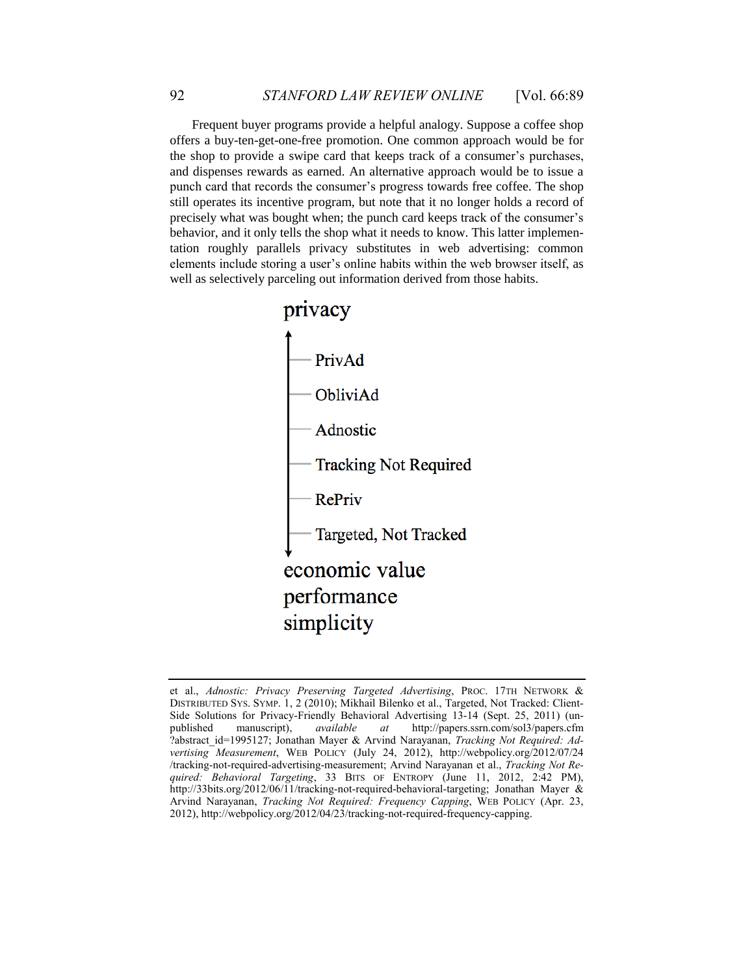Frequent buyer programs provide a helpful analogy. Suppose a coffee shop offers a buy-ten-get-one-free promotion. One common approach would be for the shop to provide a swipe card that keeps track of a consumer's purchases, and dispenses rewards as earned. An alternative approach would be to issue a punch card that records the consumer's progress towards free coffee. The shop still operates its incentive program, but note that it no longer holds a record of precisely what was bought when; the punch card keeps track of the consumer's behavior, and it only tells the shop what it needs to know. This latter implementation roughly parallels privacy substitutes in web advertising: common elements include storing a user's online habits within the web browser itself, as well as selectively parceling out information derived from those habits.



et al., *Adnostic: Privacy Preserving Targeted Advertising*, PROC. 17TH NETWORK & DISTRIBUTED SYS. SYMP. 1, 2 (2010); Mikhail Bilenko et al., Targeted, Not Tracked: Client-Side Solutions for Privacy-Friendly Behavioral Advertising 13-14 (Sept. 25, 2011) (unpublished manuscript), *available at* http://papers.ssrn.com/sol3/papers.cfm ?abstract\_id=1995127; Jonathan Mayer & Arvind Narayanan, *Tracking Not Required: Advertising Measurement*, WEB POLICY (July 24, 2012), http://webpolicy.org/2012/07/24 /tracking-not-required-advertising-measurement; Arvind Narayanan et al., *Tracking Not Required: Behavioral Targeting*, 33 BITS OF ENTROPY (June 11, 2012, 2:42 PM), http://33bits.org/2012/06/11/tracking-not-required-behavioral-targeting; Jonathan Mayer & Arvind Narayanan, *Tracking Not Required: Frequency Capping*, WEB POLICY (Apr. 23, 2012), http://webpolicy.org/2012/04/23/tracking-not-required-frequency-capping.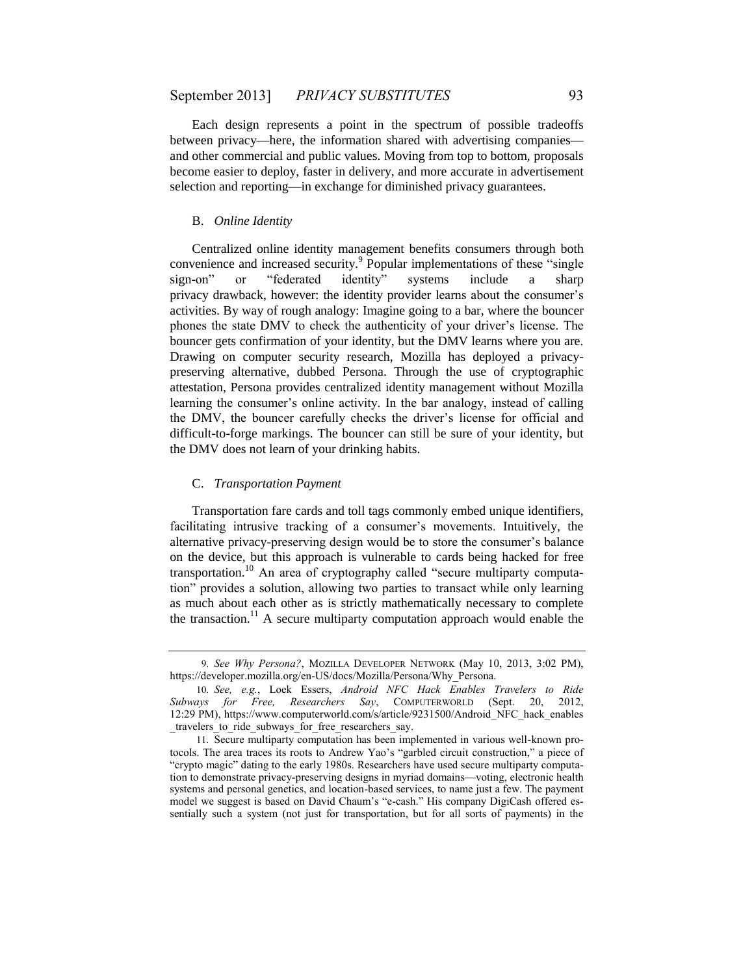Each design represents a point in the spectrum of possible tradeoffs between privacy—here, the information shared with advertising companies and other commercial and public values. Moving from top to bottom, proposals become easier to deploy, faster in delivery, and more accurate in advertisement selection and reporting—in exchange for diminished privacy guarantees.

#### B. *Online Identity*

Centralized online identity management benefits consumers through both convenience and increased security.<sup>9</sup> Popular implementations of these "single" sign-on" or "federated identity" systems include a sharp privacy drawback, however: the identity provider learns about the consumer's activities. By way of rough analogy: Imagine going to a bar, where the bouncer phones the state DMV to check the authenticity of your driver's license. The bouncer gets confirmation of your identity, but the DMV learns where you are. Drawing on computer security research, Mozilla has deployed a privacypreserving alternative, dubbed Persona. Through the use of cryptographic attestation, Persona provides centralized identity management without Mozilla learning the consumer's online activity. In the bar analogy, instead of calling the DMV, the bouncer carefully checks the driver's license for official and difficult-to-forge markings. The bouncer can still be sure of your identity, but the DMV does not learn of your drinking habits.

#### C. *Transportation Payment*

Transportation fare cards and toll tags commonly embed unique identifiers, facilitating intrusive tracking of a consumer's movements. Intuitively, the alternative privacy-preserving design would be to store the consumer's balance on the device, but this approach is vulnerable to cards being hacked for free transportation.<sup>10</sup> An area of cryptography called "secure multiparty computation" provides a solution, allowing two parties to transact while only learning as much about each other as is strictly mathematically necessary to complete the transaction.<sup>11</sup> A secure multiparty computation approach would enable the

<sup>9.</sup> *See Why Persona?*, MOZILLA DEVELOPER NETWORK (May 10, 2013, 3:02 PM), https://developer.mozilla.org/en-US/docs/Mozilla/Persona/Why\_Persona.

<sup>10.</sup> *See, e.g.*, Loek Essers, *Android NFC Hack Enables Travelers to Ride Subways for Free, Researchers Say*, COMPUTERWORLD (Sept. 20, 2012, 12:29 PM), https://www.computerworld.com/s/article/9231500/Android\_NFC\_hack\_enables travelers to ride subways for free researchers say.

<sup>11.</sup> Secure multiparty computation has been implemented in various well-known protocols. The area traces its roots to Andrew Yao's "garbled circuit construction," a piece of "crypto magic" dating to the early 1980s. Researchers have used secure multiparty computation to demonstrate privacy-preserving designs in myriad domains—voting, electronic health systems and personal genetics, and location-based services, to name just a few. The payment model we suggest is based on David Chaum's "e-cash." His company DigiCash offered essentially such a system (not just for transportation, but for all sorts of payments) in the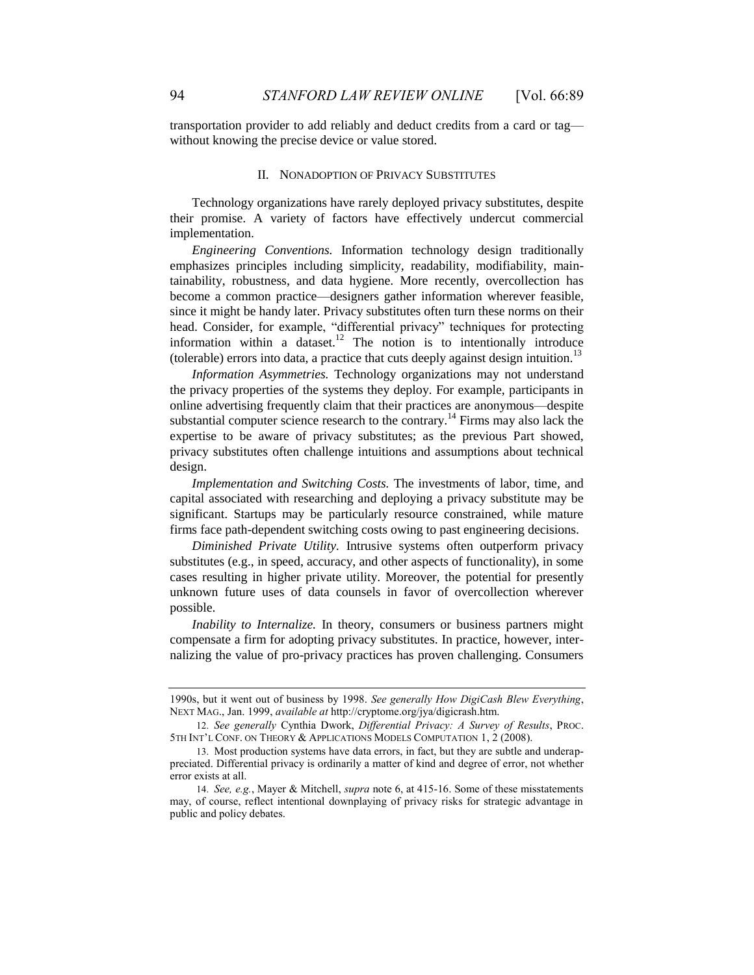transportation provider to add reliably and deduct credits from a card or tag without knowing the precise device or value stored.

#### II. NONADOPTION OF PRIVACY SUBSTITUTES

Technology organizations have rarely deployed privacy substitutes, despite their promise. A variety of factors have effectively undercut commercial implementation.

*Engineering Conventions.* Information technology design traditionally emphasizes principles including simplicity, readability, modifiability, maintainability, robustness, and data hygiene. More recently, overcollection has become a common practice—designers gather information wherever feasible, since it might be handy later. Privacy substitutes often turn these norms on their head. Consider, for example, "differential privacy" techniques for protecting information within a dataset.<sup>12</sup> The notion is to intentionally introduce (tolerable) errors into data, a practice that cuts deeply against design intuition.<sup>13</sup>

*Information Asymmetries.* Technology organizations may not understand the privacy properties of the systems they deploy. For example, participants in online advertising frequently claim that their practices are anonymous—despite substantial computer science research to the contrary.<sup>14</sup> Firms may also lack the expertise to be aware of privacy substitutes; as the previous Part showed, privacy substitutes often challenge intuitions and assumptions about technical design.

*Implementation and Switching Costs.* The investments of labor, time, and capital associated with researching and deploying a privacy substitute may be significant. Startups may be particularly resource constrained, while mature firms face path-dependent switching costs owing to past engineering decisions.

*Diminished Private Utility.* Intrusive systems often outperform privacy substitutes (e.g., in speed, accuracy, and other aspects of functionality), in some cases resulting in higher private utility. Moreover, the potential for presently unknown future uses of data counsels in favor of overcollection wherever possible.

*Inability to Internalize.* In theory, consumers or business partners might compensate a firm for adopting privacy substitutes. In practice, however, internalizing the value of pro-privacy practices has proven challenging. Consumers

<sup>1990</sup>s, but it went out of business by 1998. *See generally How DigiCash Blew Everything*, NEXT MAG., Jan. 1999, *available at* http://cryptome.org/jya/digicrash.htm.

<sup>12.</sup> *See generally* Cynthia Dwork, *Differential Privacy: A Survey of Results*, PROC. 5TH INT'L CONF. ON THEORY & APPLICATIONS MODELS COMPUTATION 1, 2 (2008).

<sup>13.</sup> Most production systems have data errors, in fact, but they are subtle and underappreciated. Differential privacy is ordinarily a matter of kind and degree of error, not whether error exists at all.

<sup>14.</sup> *See, e.g.*, Mayer & Mitchell, *supra* not[e 6,](#page-2-0) at 415-16. Some of these misstatements may, of course, reflect intentional downplaying of privacy risks for strategic advantage in public and policy debates.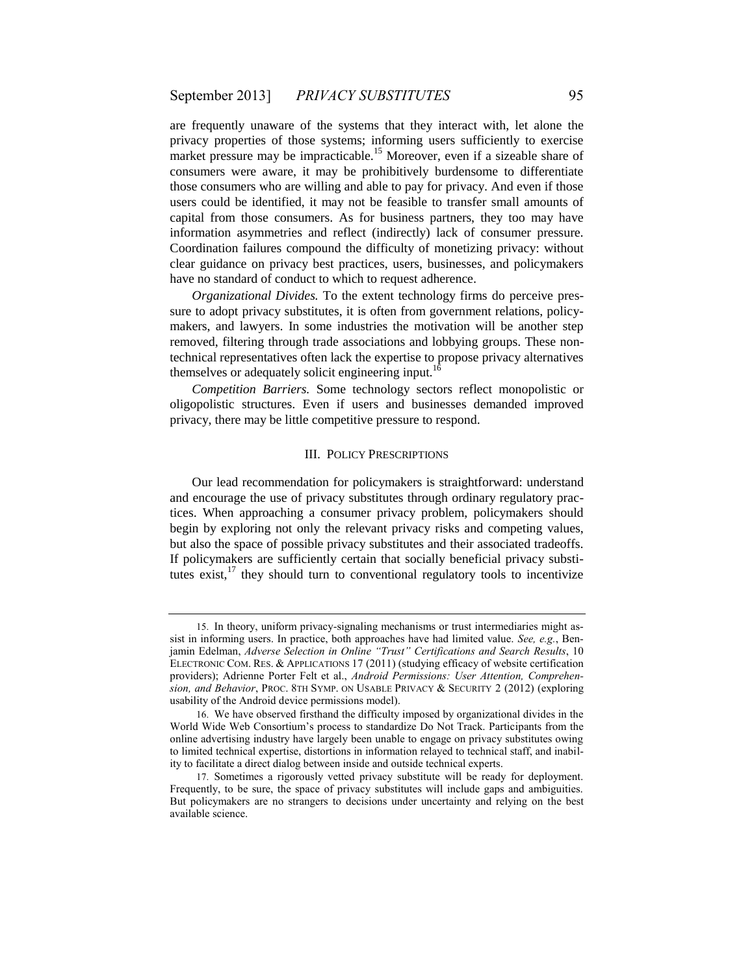are frequently unaware of the systems that they interact with, let alone the privacy properties of those systems; informing users sufficiently to exercise market pressure may be impracticable.<sup>15</sup> Moreover, even if a sizeable share of consumers were aware, it may be prohibitively burdensome to differentiate those consumers who are willing and able to pay for privacy. And even if those users could be identified, it may not be feasible to transfer small amounts of capital from those consumers. As for business partners, they too may have information asymmetries and reflect (indirectly) lack of consumer pressure. Coordination failures compound the difficulty of monetizing privacy: without clear guidance on privacy best practices, users, businesses, and policymakers have no standard of conduct to which to request adherence.

*Organizational Divides.* To the extent technology firms do perceive pressure to adopt privacy substitutes, it is often from government relations, policymakers, and lawyers. In some industries the motivation will be another step removed, filtering through trade associations and lobbying groups. These nontechnical representatives often lack the expertise to propose privacy alternatives themselves or adequately solicit engineering input.<sup>16</sup>

*Competition Barriers.* Some technology sectors reflect monopolistic or oligopolistic structures. Even if users and businesses demanded improved privacy, there may be little competitive pressure to respond.

#### III. POLICY PRESCRIPTIONS

Our lead recommendation for policymakers is straightforward: understand and encourage the use of privacy substitutes through ordinary regulatory practices. When approaching a consumer privacy problem, policymakers should begin by exploring not only the relevant privacy risks and competing values, but also the space of possible privacy substitutes and their associated tradeoffs. If policymakers are sufficiently certain that socially beneficial privacy substitutes exist, $17$  they should turn to conventional regulatory tools to incentivize

<sup>15.</sup> In theory, uniform privacy-signaling mechanisms or trust intermediaries might assist in informing users. In practice, both approaches have had limited value. *See, e.g.*, Benjamin Edelman, *Adverse Selection in Online "Trust" Certifications and Search Results*, 10 ELECTRONIC COM. RES. & APPLICATIONS 17 (2011) (studying efficacy of website certification providers); Adrienne Porter Felt et al., *Android Permissions: User Attention, Comprehension, and Behavior*, PROC. 8TH SYMP. ON USABLE PRIVACY & SECURITY 2 (2012) (exploring usability of the Android device permissions model).

<sup>16.</sup> We have observed firsthand the difficulty imposed by organizational divides in the World Wide Web Consortium's process to standardize Do Not Track. Participants from the online advertising industry have largely been unable to engage on privacy substitutes owing to limited technical expertise, distortions in information relayed to technical staff, and inability to facilitate a direct dialog between inside and outside technical experts.

<sup>17.</sup> Sometimes a rigorously vetted privacy substitute will be ready for deployment. Frequently, to be sure, the space of privacy substitutes will include gaps and ambiguities. But policymakers are no strangers to decisions under uncertainty and relying on the best available science.